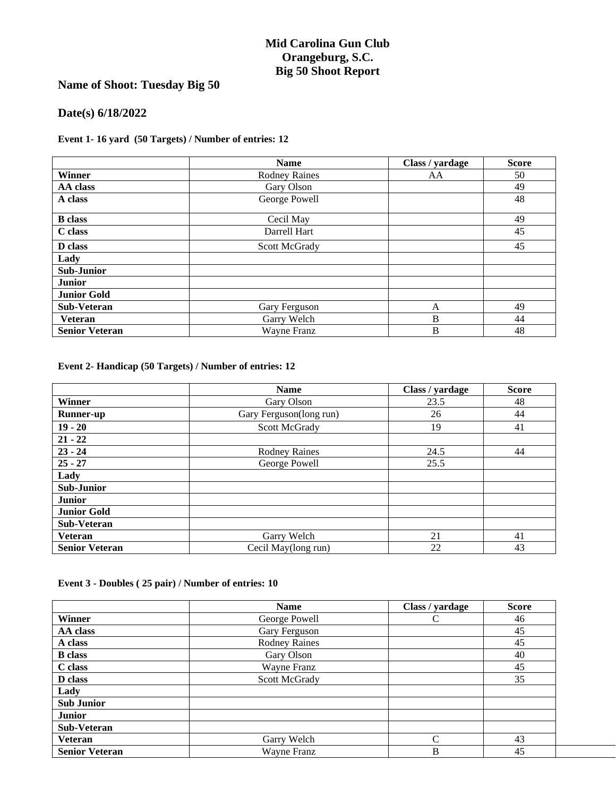## **Mid Carolina Gun Club Orangeburg, S.C. Big 50 Shoot Report**

# **Name of Shoot: Tuesday Big 50**

## **Date(s) 6/18/2022**

#### **Event 1- 16 yard (50 Targets) / Number of entries: 12**

|                       | <b>Name</b>          | Class / yardage | <b>Score</b> |
|-----------------------|----------------------|-----------------|--------------|
| Winner                | <b>Rodney Raines</b> | AA              | 50           |
| AA class              | Gary Olson           |                 | 49           |
| A class               | George Powell        |                 | 48           |
| <b>B</b> class        | Cecil May            |                 | 49           |
| C class               | Darrell Hart         |                 | 45           |
| D class               | Scott McGrady        |                 | 45           |
| Lady                  |                      |                 |              |
| <b>Sub-Junior</b>     |                      |                 |              |
| <b>Junior</b>         |                      |                 |              |
| <b>Junior Gold</b>    |                      |                 |              |
| <b>Sub-Veteran</b>    | Gary Ferguson        | A               | 49           |
| <b>Veteran</b>        | Garry Welch          | B               | 44           |
| <b>Senior Veteran</b> | Wayne Franz          | B               | 48           |

**Event 2- Handicap (50 Targets) / Number of entries: 12**

|                       | <b>Name</b>             | Class / yardage | <b>Score</b> |
|-----------------------|-------------------------|-----------------|--------------|
| Winner                | Gary Olson              | 23.5            | 48           |
| <b>Runner-up</b>      | Gary Ferguson(long run) | 26              | 44           |
| $19 - 20$             | Scott McGrady           | 19              | 41           |
| $21 - 22$             |                         |                 |              |
| $23 - 24$             | <b>Rodney Raines</b>    | 24.5            | 44           |
| $25 - 27$             | George Powell           | 25.5            |              |
| Lady                  |                         |                 |              |
| <b>Sub-Junior</b>     |                         |                 |              |
| <b>Junior</b>         |                         |                 |              |
| <b>Junior Gold</b>    |                         |                 |              |
| <b>Sub-Veteran</b>    |                         |                 |              |
| <b>Veteran</b>        | Garry Welch             | 21              | 41           |
| <b>Senior Veteran</b> | Cecil May(long run)     | 22              | 43           |

#### **Event 3 - Doubles ( 25 pair) / Number of entries: 10**

|                       | <b>Name</b>          | Class / yardage | <b>Score</b> |
|-----------------------|----------------------|-----------------|--------------|
| Winner                | George Powell        |                 | 46           |
| AA class              | Gary Ferguson        |                 | 45           |
| A class               | <b>Rodney Raines</b> |                 | 45           |
| <b>B</b> class        | Gary Olson           |                 | 40           |
| C class               | Wayne Franz          |                 | 45           |
| D class               | <b>Scott McGrady</b> |                 | 35           |
| Lady                  |                      |                 |              |
| <b>Sub Junior</b>     |                      |                 |              |
| <b>Junior</b>         |                      |                 |              |
| Sub-Veteran           |                      |                 |              |
| <b>Veteran</b>        | Garry Welch          | C               | 43           |
| <b>Senior Veteran</b> | Wayne Franz          | B               | 45           |